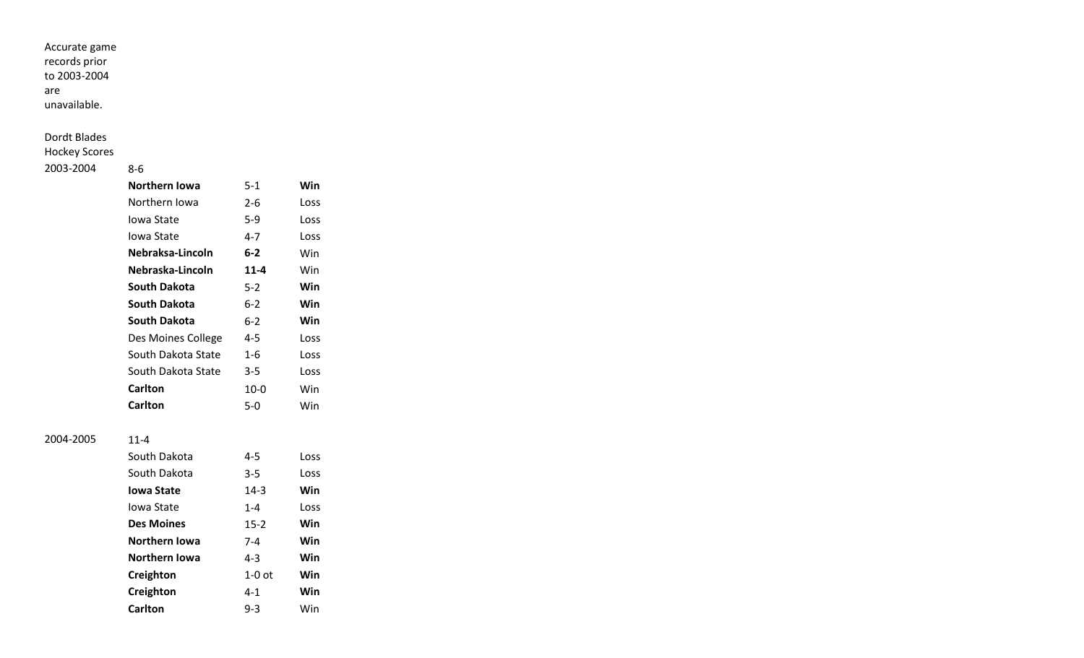Accurate game records prior to 2003-2004 are unavailable.

Dordt Blades

Hockey Scores

# 2003-2004 8-6

| Northern Iowa      | 5-1      | Win  |
|--------------------|----------|------|
| Northern Iowa      | 2-6      | Loss |
| Iowa State         | 5-9      | Loss |
| Iowa State         | $4 - 7$  | Loss |
| Nebraksa-Lincoln   | $6 - 2$  | Win  |
| Nebraska-Lincoln   | $11 - 4$ | Win  |
| South Dakota       | $5-2$    | Win  |
| South Dakota       | 6-2      | Win  |
| South Dakota       | 6-2      | Win  |
| Des Moines College | 4-5      | Loss |
| South Dakota State | $1 - 6$  | Loss |
| South Dakota State | 3-5      | Loss |
| Carlton            | 10-0     | Win  |
| Carlton            | 5-0      | Win  |

### 2004-2005 11-4

| South Dakota      | 4-5      | Loss |
|-------------------|----------|------|
| South Dakota      | 3-5      | Loss |
| Iowa State        | $14-3$   | Win  |
| Jowa State        | $1 - 4$  | Loss |
| <b>Des Moines</b> | $15 - 2$ | Win  |
| Northern Iowa     | $7 - 4$  | Win  |
| Northern Iowa     | $4 - 3$  | Win  |
| Creighton         | $1-0$ ot | Win  |
| Creighton         | $4 - 1$  | Win  |
| <b>Carlton</b>    | 9-3      | Win  |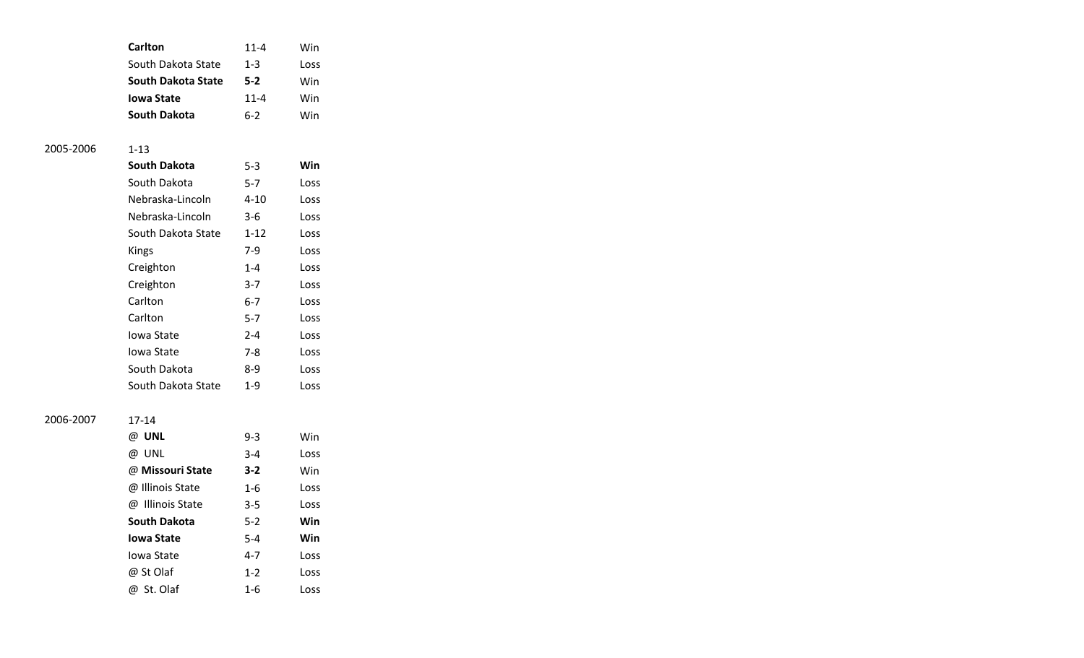|           | <b>Carlton</b>            | $11 - 4$ | Win  |
|-----------|---------------------------|----------|------|
|           | South Dakota State        | $1 - 3$  | Loss |
|           | <b>South Dakota State</b> | $5-2$    | Win  |
|           | <b>Iowa State</b>         | $11 - 4$ | Win  |
|           | <b>South Dakota</b>       | $6 - 2$  | Win  |
|           |                           |          |      |
| 2005-2006 | $1 - 13$                  |          |      |
|           | <b>South Dakota</b>       | $5 - 3$  | Win  |
|           | South Dakota              | $5 - 7$  | Loss |
|           | Nebraska-Lincoln          | $4 - 10$ | Loss |
|           | Nebraska-Lincoln          | $3-6$    | Loss |
|           | South Dakota State        | $1 - 12$ | Loss |
|           | <b>Kings</b>              | $7-9$    | Loss |
|           | Creighton                 | $1 - 4$  | Loss |
|           | Creighton                 | $3 - 7$  | Loss |
|           | Carlton                   | $6-7$    | Loss |
|           | Carlton                   | $5 - 7$  | Loss |
|           | Iowa State                | $2 - 4$  | Loss |
|           | Iowa State                | 7-8      | Loss |
|           | South Dakota              | 8-9      | Loss |
|           | South Dakota State        | 1-9      | Loss |
|           |                           |          |      |

### 2006-2007 17-14

| UNL<br>@         | $9 - 3$ | Win  |
|------------------|---------|------|
| UNL<br>@         | $3 - 4$ | Loss |
| @ Missouri State | $3 - 2$ | Win  |
| @ Illinois State | 1-6     | Loss |
| @ Illinois State | $3 - 5$ | Loss |
| South Dakota     | $5 - 2$ | Win  |
| Iowa State       | $5 - 4$ | Win  |
| Jowa State       | $4 - 7$ | Loss |
| @ St Olaf        | $1 - 2$ | Loss |
| @ St. Olaf       | 1-6     | Loss |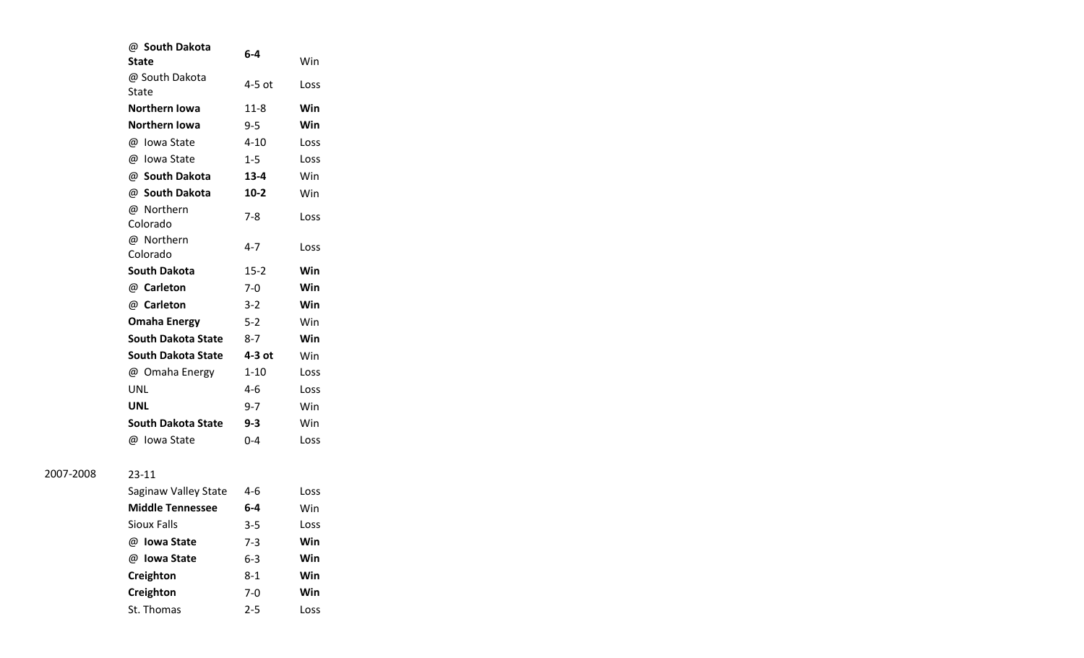| @ South Dakota<br><b>State</b> | 6-4      | Win  |
|--------------------------------|----------|------|
| @ South Dakota<br>State        | $4-5$ ot | Loss |
| <b>Northern Iowa</b>           | 11-8     | Win  |
| <b>Northern Iowa</b>           | $9 - 5$  | Win  |
| @ Iowa State                   | $4 - 10$ | Loss |
| @ Iowa State                   | $1 - 5$  | Loss |
| @ South Dakota                 | $13 - 4$ | Win  |
| @ South Dakota                 | $10-2$   | Win  |
| @ Northern<br>Colorado         | 7-8      | Loss |
| @ Northern<br>Colorado         | $4 - 7$  | Loss |
| South Dakota                   | $15-2$   | Win  |
| @ Carleton                     | $7-0$    | Win  |
| @ Carleton                     | $3-2$    | Win  |
| <b>Omaha Energy</b>            | $5-2$    | Win  |
| South Dakota State             | $8 - 7$  | Win  |
| <b>South Dakota State</b>      | 4-3 ot   | Win  |
| @ Omaha Energy                 | $1 - 10$ | Loss |
| UNL                            | 4-6      | Loss |
| UNL                            | $9 - 7$  | Win  |
| <b>South Dakota State</b>      | $9 - 3$  | Win  |
| @ lowa State                   | $0 - 4$  | Loss |

### 2007-2008 23-11

| Saginaw Valley State    | 4-6     | Loss |
|-------------------------|---------|------|
| <b>Middle Tennessee</b> | 6-4     | Win  |
| Sioux Falls             | $3 - 5$ | Loss |
| @ Iowa State            | $7-3$   | Win  |
| @ Iowa State            | $6-3$   | Win  |
| Creighton               | 8-1     | Win  |
| Creighton               | 7-0     | Win  |
| St. Thomas              | 2-5     | Loss |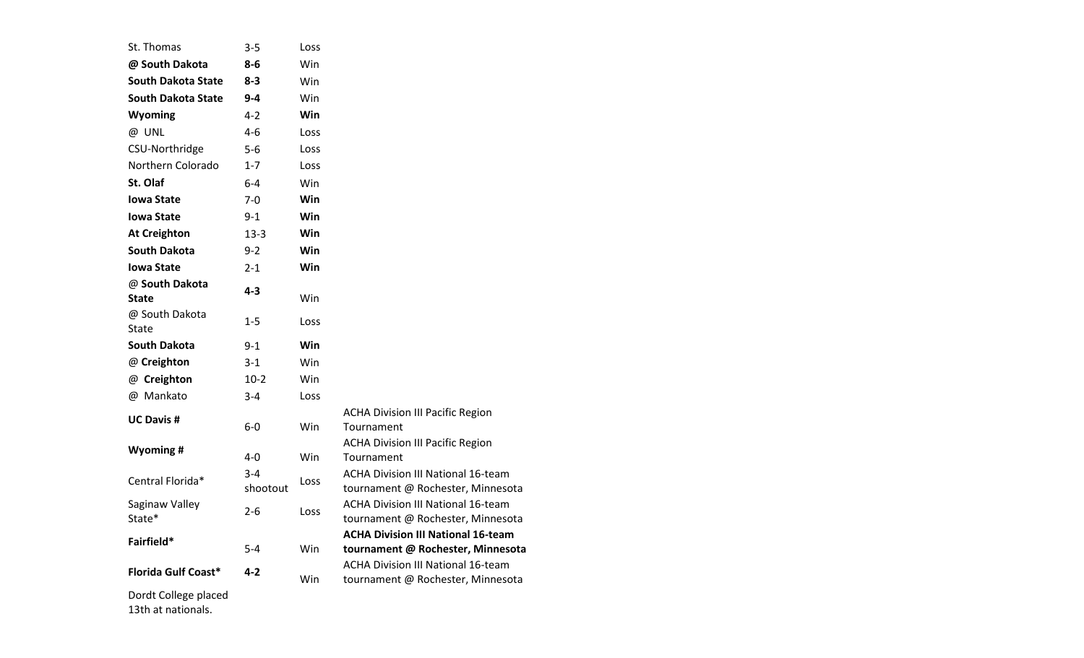| St. Thomas                 | $3 - 5$             | Loss |                                                                                |
|----------------------------|---------------------|------|--------------------------------------------------------------------------------|
| @ South Dakota             | 8-6                 | Win  |                                                                                |
| <b>South Dakota State</b>  | $8 - 3$             | Win  |                                                                                |
| South Dakota State         | 9-4                 | Win  |                                                                                |
| Wyoming                    | 4-2                 | Win  |                                                                                |
| @ UNL                      | $4 - 6$             | Loss |                                                                                |
| CSU-Northridge             | 5-6                 | Loss |                                                                                |
| Northern Colorado          | $1 - 7$             | Loss |                                                                                |
| St. Olaf                   | $6 - 4$             | Win  |                                                                                |
| <b>Iowa State</b>          | 7-0                 | Win  |                                                                                |
| <b>Iowa State</b>          | $9-1$               | Win  |                                                                                |
| <b>At Creighton</b>        | 13-3                | Win  |                                                                                |
| <b>South Dakota</b>        | $9 - 2$             | Win  |                                                                                |
| <b>Iowa State</b>          | $2 - 1$             | Win  |                                                                                |
| @ South Dakota<br>State    | $4 - 3$             | Win  |                                                                                |
| @ South Dakota<br>State    | $1 - 5$             | Loss |                                                                                |
| South Dakota               | $9 - 1$             | Win  |                                                                                |
| @ Creighton                | $3-1$               | Win  |                                                                                |
| @ Creighton                | $10-2$              | Win  |                                                                                |
| @ Mankato                  | 3-4                 | Loss |                                                                                |
| <b>UC Davis #</b>          | $6-0$               | Win  | <b>ACHA Division III Pacific Region</b><br>Tournament                          |
| Wyoming #                  | $4 - 0$             | Win  | <b>ACHA Division III Pacific Region</b><br>Tournament                          |
| Central Florida*           | $3 - 4$<br>shootout | Loss | <b>ACHA Division III National 16-team</b><br>tournament @ Rochester, Minnesota |
| Saginaw Valley<br>State*   | $2 - 6$             | Loss | <b>ACHA Division III National 16-team</b><br>tournament @ Rochester, Minnesota |
| Fairfield*                 | $5 - 4$             | Win  | <b>ACHA Division III National 16-team</b><br>tournament @ Rochester, Minnesota |
| <b>Florida Gulf Coast*</b> | $4 - 2$             | Win  | <b>ACHA Division III National 16-team</b><br>tournament @ Rochester, Minnesota |
| Dordt College placed       |                     |      |                                                                                |

13th at nationals.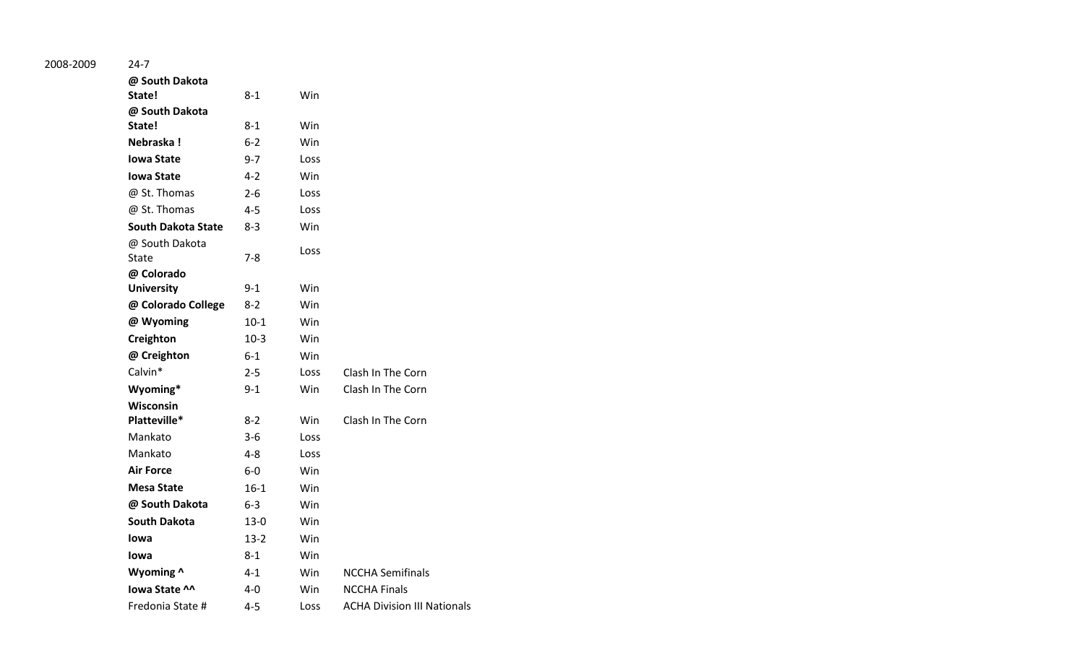2008-2009 24-7

| @ South Dakota            |         |      |                                    |
|---------------------------|---------|------|------------------------------------|
| State!                    | 8-1     | Win  |                                    |
| @ South Dakota            |         |      |                                    |
| State!                    | 8-1     | Win  |                                    |
| Nebraska!                 | $6 - 2$ | Win  |                                    |
| <b>Iowa State</b>         | $9 - 7$ | Loss |                                    |
| <b>Iowa State</b>         | $4-2$   | Win  |                                    |
| @ St. Thomas              | $2 - 6$ | Loss |                                    |
| @ St. Thomas              | $4 - 5$ | Loss |                                    |
| <b>South Dakota State</b> | 8-3     | Win  |                                    |
| @ South Dakota            |         | Loss |                                    |
| State                     | 7-8     |      |                                    |
| @ Colorado                |         |      |                                    |
| <b>University</b>         | $9 - 1$ | Win  |                                    |
| @ Colorado College        | $8-2$   | Win  |                                    |
| @ Wyoming                 | $10-1$  | Win  |                                    |
| Creighton                 | $10-3$  | Win  |                                    |
| @ Creighton               | $6-1$   | Win  |                                    |
| Calvin*                   | $2 - 5$ | Loss | Clash In The Corn                  |
| Wyoming*                  | $9 - 1$ | Win  | Clash In The Corn                  |
| Wisconsin                 |         |      |                                    |
| Platteville*              | $8 - 2$ | Win  | Clash In The Corn                  |
| Mankato                   | $3-6$   | Loss |                                    |
| Mankato                   | 4-8     | Loss |                                    |
| <b>Air Force</b>          | $6-0$   | Win  |                                    |
| <b>Mesa State</b>         | $16-1$  | Win  |                                    |
| @ South Dakota            | $6 - 3$ | Win  |                                    |
| <b>South Dakota</b>       | 13-0    | Win  |                                    |
| Iowa                      | $13-2$  | Win  |                                    |
| <b>lowa</b>               | $8 - 1$ | Win  |                                    |
| Wyoming ^                 | $4 - 1$ | Win  | <b>NCCHA Semifinals</b>            |
| lowa State ^^             | 4-0     | Win  | <b>NCCHA Finals</b>                |
| Fredonia State #          | $4 - 5$ | Loss | <b>ACHA Division III Nationals</b> |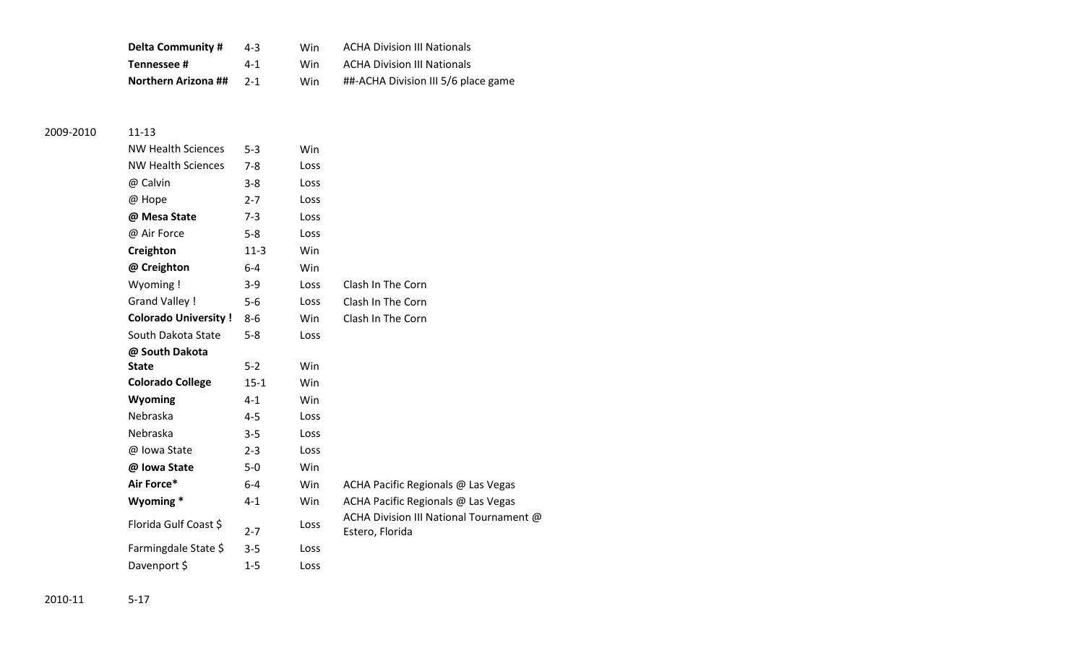| <b>Delta Community #</b>   | $4 - 3$ | Win | <b>ACHA Division III Nationals</b>  |
|----------------------------|---------|-----|-------------------------------------|
| Tennessee #                | 4-1     | Win | <b>ACHA Division III Nationals</b>  |
| <b>Northern Arizona ##</b> | $2 - 1$ | Win | ##-ACHA Division III 5/6 place game |

# 2009-2010 11-13

| <b>NW Health Sciences</b>   | $5 - 3$  | Win  |                                                            |
|-----------------------------|----------|------|------------------------------------------------------------|
| <b>NW Health Sciences</b>   | $7-8$    | Loss |                                                            |
| @ Calvin                    | $3 - 8$  | Loss |                                                            |
| @ Hope                      | $2 - 7$  | Loss |                                                            |
| @ Mesa State                | $7 - 3$  | Loss |                                                            |
| @ Air Force                 | $5 - 8$  | Loss |                                                            |
| Creighton                   | $11-3$   | Win  |                                                            |
| @ Creighton                 | $6 - 4$  | Win  |                                                            |
| Wyoming!                    | $3-9$    | Loss | Clash In The Corn                                          |
| <b>Grand Valley!</b>        | $5-6$    | Loss | Clash In The Corn                                          |
| <b>Colorado University!</b> | $8 - 6$  | Win  | Clash In The Corn                                          |
| South Dakota State          | $5 - 8$  | Loss |                                                            |
| @ South Dakota              |          |      |                                                            |
| <b>State</b>                | $5 - 2$  | Win  |                                                            |
| <b>Colorado College</b>     | $15 - 1$ | Win  |                                                            |
| Wyoming                     | $4 - 1$  | Win  |                                                            |
| Nebraska                    | $4 - 5$  | Loss |                                                            |
| Nebraska                    | $3 - 5$  | Loss |                                                            |
| @ Iowa State                | $2 - 3$  | Loss |                                                            |
| @ Iowa State                | $5-0$    | Win  |                                                            |
| Air Force*                  | $6 - 4$  | Win  | ACHA Pacific Regionals @ Las Vegas                         |
| Wyoming *                   | $4 - 1$  | Win  | ACHA Pacific Regionals @ Las Vegas                         |
| Florida Gulf Coast \$       | $2 - 7$  | Loss | ACHA Division III National Tournament @<br>Estero, Florida |
| Farmingdale State \$        | $3 - 5$  | Loss |                                                            |
| Davenport \$                | $1 - 5$  | Loss |                                                            |
|                             |          |      |                                                            |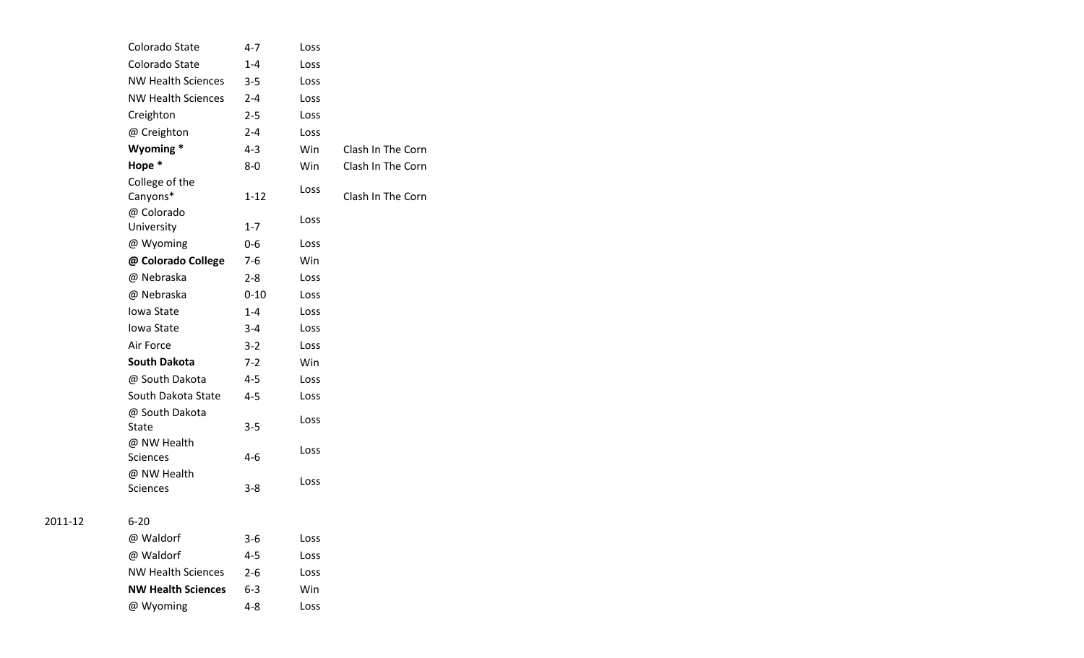| Colorado State            | $4 - 7$  | Loss |                   |
|---------------------------|----------|------|-------------------|
| Colorado State            | $1 - 4$  | Loss |                   |
| <b>NW Health Sciences</b> | $3 - 5$  | Loss |                   |
| <b>NW Health Sciences</b> | $2 - 4$  | Loss |                   |
| Creighton                 | $2 - 5$  | Loss |                   |
| @ Creighton               | $2 - 4$  | Loss |                   |
| Wyoming*                  | $4 - 3$  | Win  | Clash In The Corn |
| Hope *                    | $8-0$    | Win  | Clash In The Corn |
| College of the            |          | Loss |                   |
| Canyons*                  | $1 - 12$ |      | Clash In The Corn |
| @ Colorado                |          | Loss |                   |
| University                | $1 - 7$  |      |                   |
| @ Wyoming                 | $0 - 6$  | Loss |                   |
| @ Colorado College        | $7 - 6$  | Win  |                   |
| @ Nebraska                | $2 - 8$  | Loss |                   |
| @ Nebraska                | $0 - 10$ | Loss |                   |
| Iowa State                | $1 - 4$  | Loss |                   |
| Iowa State                | $3 - 4$  | Loss |                   |
| Air Force                 | $3 - 2$  | Loss |                   |
| <b>South Dakota</b>       | $7-2$    | Win  |                   |
| @ South Dakota            | 4-5      | Loss |                   |
| South Dakota State        | $4 - 5$  | Loss |                   |
| @ South Dakota            |          | Loss |                   |
| State                     | $3 - 5$  |      |                   |
| @ NW Health               |          | Loss |                   |
| Sciences                  | $4 - 6$  |      |                   |
| @ NW Health               |          | Loss |                   |
| <b>Sciences</b>           | $3 - 8$  |      |                   |
|                           |          |      |                   |

| @ Waldorf                 | 3-6     | Loss |
|---------------------------|---------|------|
| @ Waldorf                 | $4 - 5$ | Loss |
| <b>NW Health Sciences</b> | 2-6     | Loss |
| <b>NW Health Sciences</b> | $6 - 3$ | Win  |
| @ Wyoming                 | 4-8     | Loss |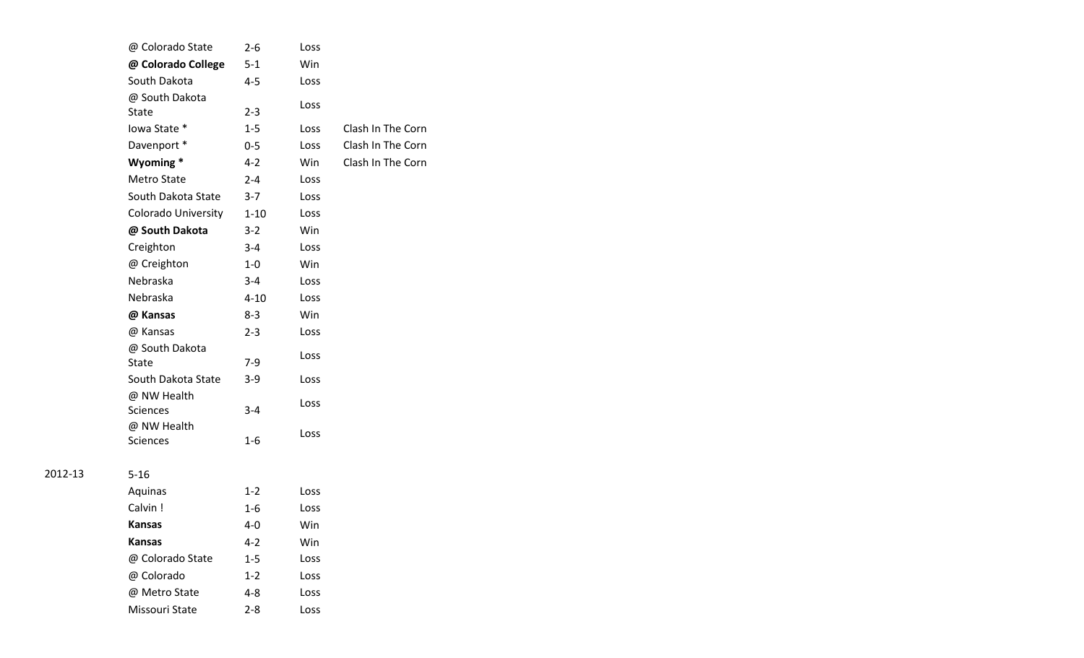| @ Colorado State           | 2-6      | Loss       |                   |
|----------------------------|----------|------------|-------------------|
| @ Colorado College         | $5 - 1$  | Win        |                   |
| South Dakota               | 4-5      | Loss       |                   |
| @ South Dakota             |          | Loss       |                   |
| State                      | $2 - 3$  |            |                   |
| lowa State *               | $1 - 5$  | Loss       | Clash In The Corn |
| Davenport *                | $0 - 5$  | Loss       | Clash In The Corn |
| Wyoming*                   | $4 - 2$  | <b>Win</b> | Clash In The Corn |
| Metro State                | $2 - 4$  | Loss       |                   |
| South Dakota State         | $3 - 7$  | Loss       |                   |
| <b>Colorado University</b> | $1 - 10$ | Loss       |                   |
| @ South Dakota             | $3-2$    | Win        |                   |
| Creighton                  | $3 - 4$  | Loss       |                   |
| @ Creighton                | $1-0$    | Win        |                   |
| Nebraska                   | $3 - 4$  | Loss       |                   |
| Nebraska                   | $4 - 10$ | Loss       |                   |
| @ Kansas                   | $8 - 3$  | Win        |                   |
| @ Kansas                   | $2 - 3$  | Loss       |                   |
| @ South Dakota             |          | Loss       |                   |
| <b>State</b>               | $7-9$    |            |                   |
| South Dakota State         | $3-9$    | Loss       |                   |
| @ NW Health                |          | Loss       |                   |
| Sciences                   | $3 - 4$  |            |                   |
| @ NW Health                |          | Loss       |                   |
| Sciences                   | $1 - 6$  |            |                   |
|                            |          |            |                   |
| $5 - 16$                   |          |            |                   |

| Aquinas          | $1 - 2$ | Loss |
|------------------|---------|------|
| Calvin!          | 1-6     | Loss |
| Kansas           | 4-0     | Win  |
| Kansas           | $4 - 2$ | Win  |
| @ Colorado State | $1 - 5$ | Loss |
| @ Colorado       | $1 - 2$ | Loss |
| @ Metro State    | 4-8     | Loss |
| Missouri State   | $2 - 8$ | Loss |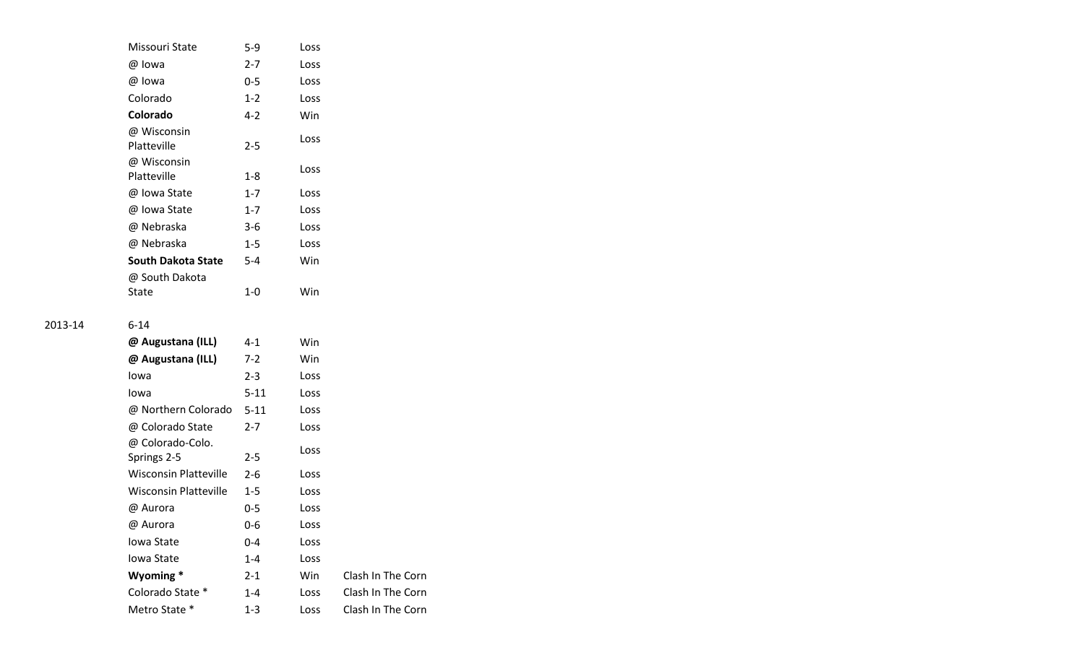| Missouri State             | 5-9     | Loss |
|----------------------------|---------|------|
| @ lowa                     | 2-7     | Loss |
| @ lowa                     | 0-5     | Loss |
| Colorado                   | $1-2$   | Loss |
| Colorado                   | $4 - 2$ | Win  |
| @ Wisconsin<br>Platteville | $2 - 5$ | Loss |
| @ Wisconsin<br>Platteville | 1-8     | Loss |
| @ Iowa State               | $1 - 7$ | Loss |
| @ Iowa State               | 1-7     | Loss |
| @ Nebraska                 | $3 - 6$ | Loss |
| @ Nebraska                 | 1-5     | Loss |
| South Dakota State         | $5 - 4$ | Win  |
| @ South Dakota             |         |      |
| State                      | 1-0     | Win  |

| b-14                  |          |      |                   |
|-----------------------|----------|------|-------------------|
| @ Augustana (ILL)     | 4-1      | Win  |                   |
| @ Augustana (ILL)     | $7-2$    | Win  |                   |
| lowa                  | $2 - 3$  | Loss |                   |
| Iowa                  | $5 - 11$ | Loss |                   |
| @ Northern Colorado   | $5 - 11$ | Loss |                   |
| @ Colorado State      | $2 - 7$  | Loss |                   |
| @ Colorado-Colo.      |          | Loss |                   |
| Springs 2-5           | $2 - 5$  |      |                   |
| Wisconsin Platteville | $2 - 6$  | Loss |                   |
| Wisconsin Platteville | $1 - 5$  | Loss |                   |
| @ Aurora              | $0 - 5$  | Loss |                   |
| @ Aurora              | 0-6      | Loss |                   |
| Iowa State            | $0 - 4$  | Loss |                   |
| Iowa State            | $1 - 4$  | Loss |                   |
| Wyoming*              | $2 - 1$  | Win  | Clash In The Corn |
| Colorado State *      | $1 - 4$  | Loss | Clash In The Corn |
| Metro State *         | $1 - 3$  | Loss | Clash In The Corn |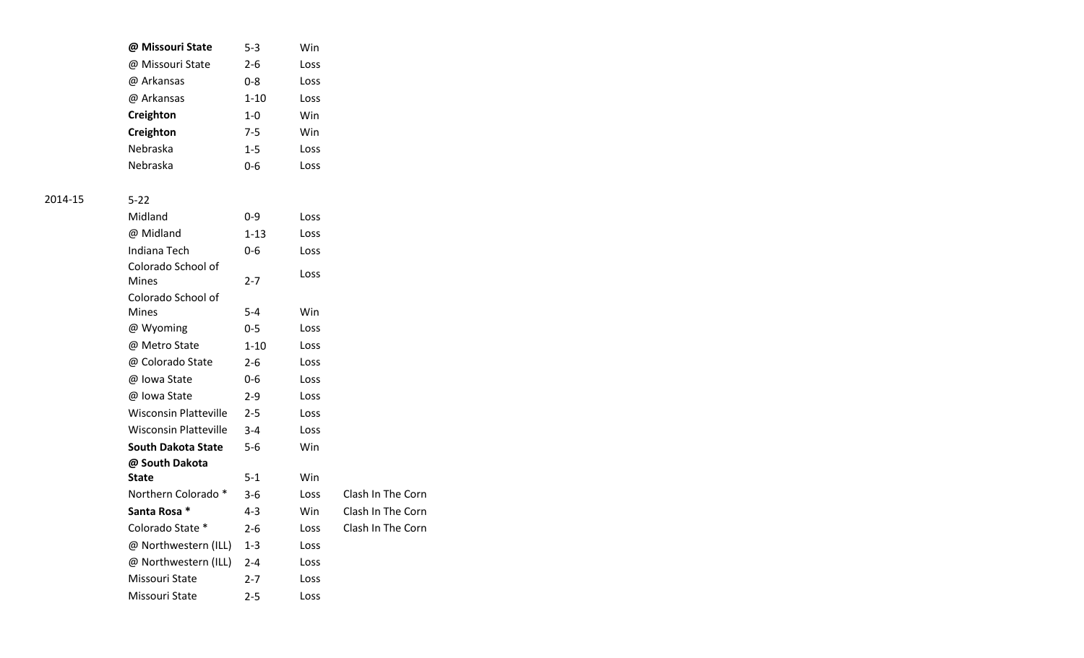| @ Missouri State             | $5 - 3$  | Win  |                   |
|------------------------------|----------|------|-------------------|
| @ Missouri State             | $2 - 6$  | Loss |                   |
| @ Arkansas                   | 0-8      | Loss |                   |
| @ Arkansas                   | $1 - 10$ | Loss |                   |
| Creighton                    | $1 - 0$  | Win  |                   |
| Creighton                    | 7-5      | Win  |                   |
| Nebraska                     | $1 - 5$  | Loss |                   |
| Nebraska                     | 0-6      | Loss |                   |
| $5 - 22$                     |          |      |                   |
| Midland                      | 0-9      | Loss |                   |
| @ Midland                    | $1 - 13$ | Loss |                   |
| <b>Indiana Tech</b>          | $0 - 6$  | Loss |                   |
| Colorado School of<br>Mines  | $2 - 7$  | Loss |                   |
| Colorado School of           |          |      |                   |
| <b>Mines</b>                 | $5 - 4$  | Win  |                   |
| @ Wyoming                    | $0 - 5$  | Loss |                   |
| @ Metro State                | $1 - 10$ | Loss |                   |
| @ Colorado State             | $2 - 6$  | Loss |                   |
| @ Iowa State                 | 0-6      | Loss |                   |
| @ Iowa State                 | $2 - 9$  | Loss |                   |
| <b>Wisconsin Platteville</b> | $2 - 5$  | Loss |                   |
| <b>Wisconsin Platteville</b> | 3-4      | Loss |                   |
| <b>South Dakota State</b>    | 5-6      | Win  |                   |
| @ South Dakota               |          |      |                   |
| <b>State</b>                 | $5 - 1$  | Win  |                   |
| Northern Colorado *          | $3 - 6$  | Loss | Clash In The Corn |
| Santa Rosa *                 | 4-3      | Win  | Clash In The Corn |
| Colorado State *             | $2 - 6$  | Loss | Clash In The Corn |
| @ Northwestern (ILL)         | $1 - 3$  | Loss |                   |
| @ Northwestern (ILL)         | 2-4      | Loss |                   |
| Missouri State               | 2-7      | Loss |                   |
| Missouri State               | 2-5      | Loss |                   |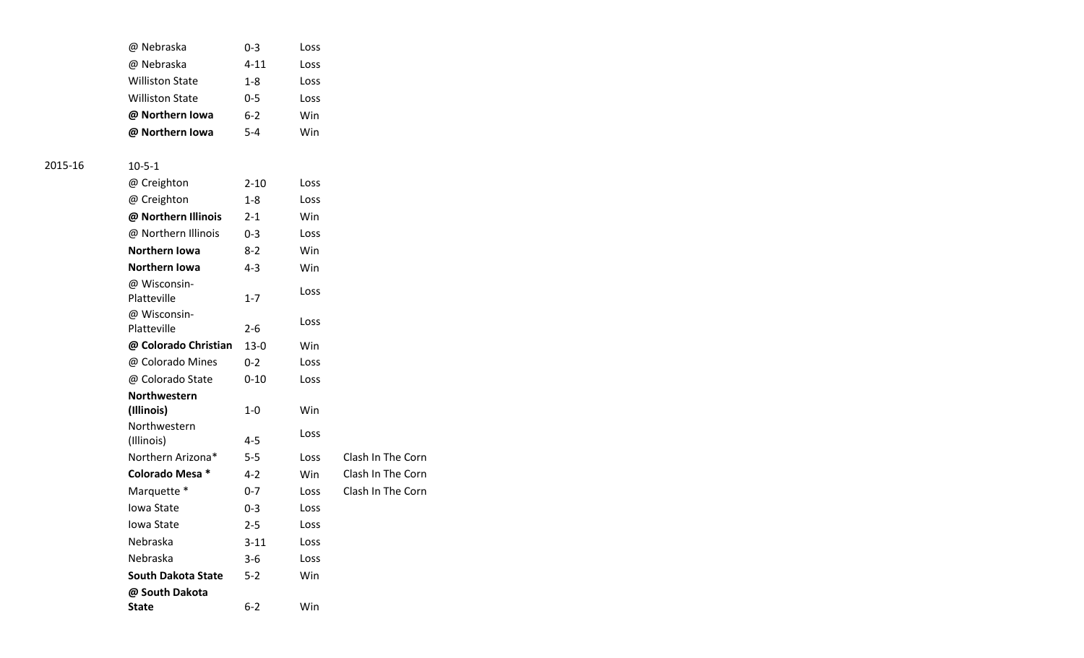| @ Nebraska             | $0 - 3$  | Loss |
|------------------------|----------|------|
| @ Nebraska             | $4 - 11$ | Loss |
| <b>Williston State</b> | $1 - 8$  | Loss |
| <b>Williston State</b> | $0 - 5$  | Loss |
| @ Northern Iowa        | $6-2$    | Win  |
| @ Northern Iowa        | $5 - 4$  | Win  |
|                        |          |      |

| @ Creighton                 | $2 - 10$ | Loss |                   |
|-----------------------------|----------|------|-------------------|
| @ Creighton                 | $1 - 8$  | Loss |                   |
| @ Northern Illinois         | $2 - 1$  | Win  |                   |
| @ Northern Illinois         | $0 - 3$  | Loss |                   |
| Northern Iowa               | $8-2$    | Win  |                   |
| Northern Iowa               | $4 - 3$  | Win  |                   |
| @ Wisconsin-<br>Platteville | $1 - 7$  | Loss |                   |
| @ Wisconsin-<br>Platteville | $2 - 6$  | Loss |                   |
| @ Colorado Christian        | $13-0$   | Win  |                   |
| @ Colorado Mines            | $0 - 2$  | Loss |                   |
| @ Colorado State            | $0 - 10$ | Loss |                   |
| <b>Northwestern</b>         |          |      |                   |
| (Illinois)                  | $1 - 0$  | Win  |                   |
| Northwestern<br>(Illinois)  | $4 - 5$  | Loss |                   |
| Northern Arizona*           | $5 - 5$  | Loss | Clash In The Corn |
| Colorado Mesa *             | $4 - 2$  | Win  | Clash In The Corn |
| Marquette *                 | $0 - 7$  | Loss | Clash In The Corn |
| Iowa State                  | $0 - 3$  | Loss |                   |
| Iowa State                  | $2 - 5$  | Loss |                   |
| Nebraska                    | $3 - 11$ | Loss |                   |
| Nebraska                    | $3-6$    | Loss |                   |
| <b>South Dakota State</b>   | $5 - 2$  | Win  |                   |
| @ South Dakota              |          |      |                   |
| <b>State</b>                | $6 - 2$  | Win  |                   |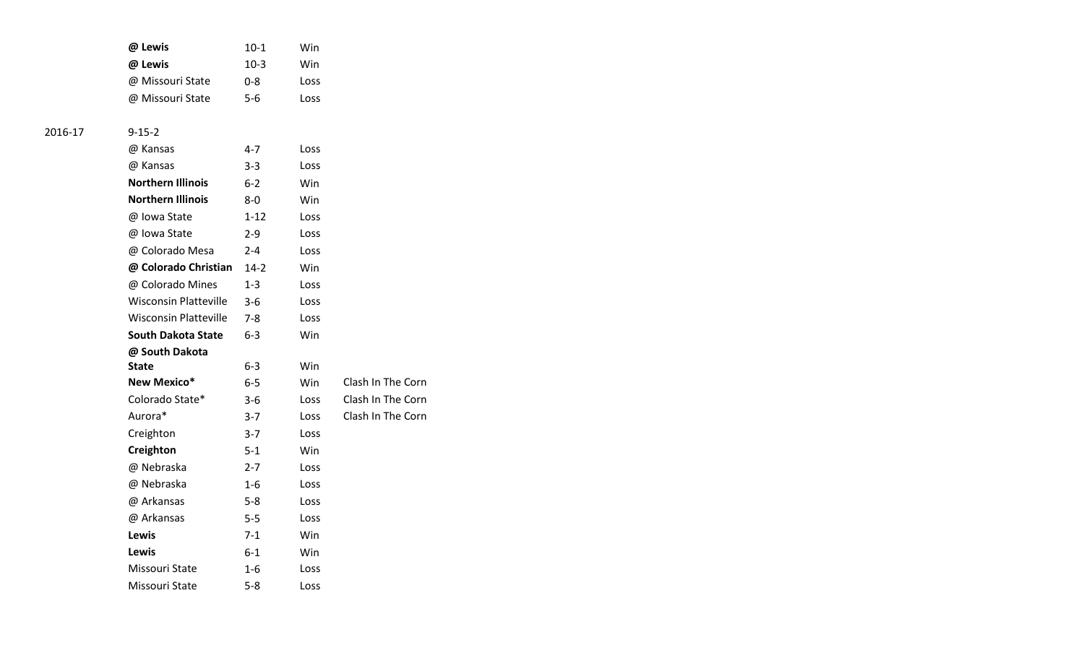| @ Lewis          | $10-1$ | Win  |
|------------------|--------|------|
| @ Lewis          | $10-3$ | Win  |
| @ Missouri State | በ-ጸ    | Loss |
| @ Missouri State | 5-6    | Loss |

| @ Kansas                     | 4-7      | Loss |                   |
|------------------------------|----------|------|-------------------|
| @ Kansas                     | $3 - 3$  | Loss |                   |
| <b>Northern Illinois</b>     | $6 - 2$  | Win  |                   |
| <b>Northern Illinois</b>     | $8-0$    | Win  |                   |
| @ Iowa State                 | $1 - 12$ | Loss |                   |
| @ Iowa State                 | $2 - 9$  | Loss |                   |
| @ Colorado Mesa              | 2-4      | Loss |                   |
| @ Colorado Christian         | $14-2$   | Win  |                   |
| @ Colorado Mines             | $1 - 3$  | Loss |                   |
| <b>Wisconsin Platteville</b> | $3-6$    | Loss |                   |
| <b>Wisconsin Platteville</b> | $7-8$    | Loss |                   |
| <b>South Dakota State</b>    | $6 - 3$  | Win  |                   |
| @ South Dakota               |          |      |                   |
| <b>State</b>                 | $6 - 3$  | Win  |                   |
| New Mexico*                  | $6-5$    | Win  | Clash In The Corn |
| Colorado State*              | $3-6$    | Loss | Clash In The Corn |
| Aurora*                      | $3 - 7$  | Loss | Clash In The Corn |
| Creighton                    | $3 - 7$  | Loss |                   |
| Creighton                    | $5 - 1$  | Win  |                   |
| @ Nebraska                   | $2 - 7$  | Loss |                   |
| @ Nebraska                   | 1-6      | Loss |                   |
| @ Arkansas                   | $5 - 8$  | Loss |                   |
| @ Arkansas                   | $5-5$    | Loss |                   |
| Lewis                        | $7-1$    | Win  |                   |
| Lewis                        | $6 - 1$  | Win  |                   |
| Missouri State               | 1-6      | Loss |                   |
| Missouri State               | $5 - 8$  | Loss |                   |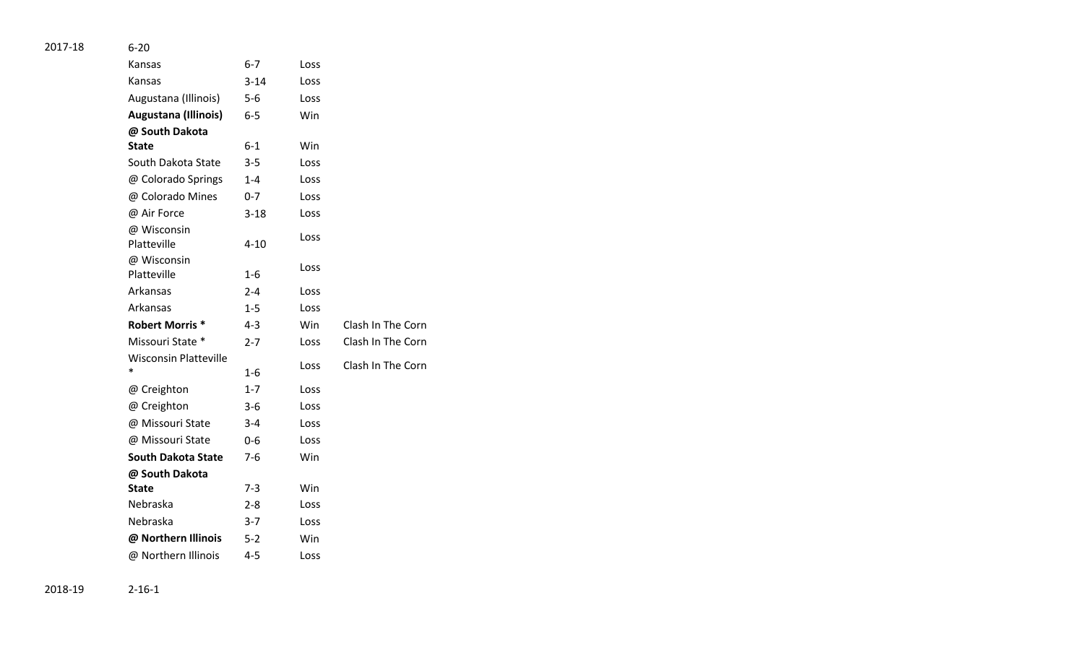| 2017-18 |  |  |
|---------|--|--|
|         |  |  |

6-20

| Kansas                                 | $6 - 7$  | Loss |                   |
|----------------------------------------|----------|------|-------------------|
| Kansas                                 | $3 - 14$ | Loss |                   |
| Augustana (Illinois)                   | $5-6$    | Loss |                   |
| Augustana (Illinois)                   | $6-5$    | Win  |                   |
| @ South Dakota                         |          |      |                   |
| State                                  | 6-1      | Win  |                   |
| South Dakota State                     | $3 - 5$  | Loss |                   |
| @ Colorado Springs                     | 1-4      | Loss |                   |
| @ Colorado Mines                       | $0 - 7$  | Loss |                   |
| @ Air Force                            | $3 - 18$ | Loss |                   |
| @ Wisconsin<br>Platteville             | $4 - 10$ | Loss |                   |
| @ Wisconsin<br>Platteville             | $1 - 6$  | Loss |                   |
| Arkansas                               | $2 - 4$  | Loss |                   |
| Arkansas                               | $1 - 5$  | Loss |                   |
| <b>Robert Morris*</b>                  | $4 - 3$  | Win  | Clash In The Corn |
| Missouri State *                       | $2 - 7$  | Loss | Clash In The Corn |
| <b>Wisconsin Platteville</b><br>$\ast$ | 1-6      | Loss | Clash In The Corn |
| @ Creighton                            | $1 - 7$  | Loss |                   |
| @ Creighton                            | 3-6      | Loss |                   |
| @ Missouri State                       | $3 - 4$  | Loss |                   |
| @ Missouri State                       | Ი-Ნ      | Loss |                   |
| <b>South Dakota State</b>              | 7-6      | Win  |                   |
| @ South Dakota                         |          |      |                   |
| <b>State</b>                           | $7-3$    | Win  |                   |
| Nebraska                               | $2 - 8$  | Loss |                   |
| Nebraska                               | $3 - 7$  | Loss |                   |
| @ Northern Illinois                    | $5-2$    | Win  |                   |
| @ Northern Illinois                    | $4 - 5$  | Loss |                   |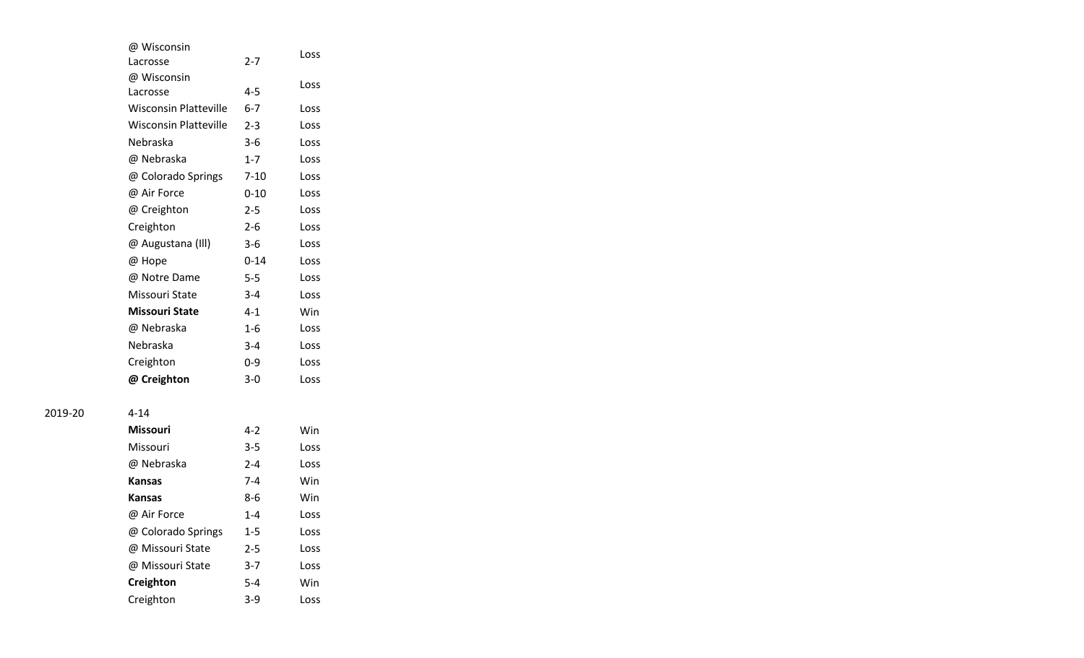| @ Wisconsin                  |          | Loss |
|------------------------------|----------|------|
| Lacrosse                     | $2 - 7$  |      |
| @ Wisconsin                  |          | Loss |
| Lacrosse                     | $4 - 5$  |      |
| <b>Wisconsin Platteville</b> | $6 - 7$  | Loss |
| Wisconsin Platteville        | $2 - 3$  | Loss |
| Nebraska                     | 3-6      | Loss |
| @ Nebraska                   | $1 - 7$  | Loss |
| @ Colorado Springs           | $7 - 10$ | Loss |
| @ Air Force                  | $0 - 10$ | Loss |
| @ Creighton                  | $2 - 5$  | Loss |
| Creighton                    | $2 - 6$  | Loss |
| @ Augustana (III)            | 3-6      | Loss |
| @ Hope                       | $0 - 14$ | Loss |
| @ Notre Dame                 | $5 - 5$  | Loss |
| Missouri State               | $3 - 4$  | Loss |
| <b>Missouri State</b>        | $4 - 1$  | Win  |
| @ Nebraska                   | 1-6      | Loss |
| Nebraska                     | $3 - 4$  | Loss |
| Creighton                    | 0-9      | Loss |
| @ Creighton                  | 3-0      | Loss |

| Missouri           | $4 - 2$ | Win  |
|--------------------|---------|------|
| Missouri           | $3 - 5$ | Loss |
| @ Nebraska         | $2 - 4$ | Loss |
| <b>Kansas</b>      | $7 - 4$ | Win  |
| <b>Kansas</b>      | 8-6     | Win  |
| @ Air Force        | $1 - 4$ | Loss |
| @ Colorado Springs | $1 - 5$ | Loss |
| @ Missouri State   | $2 - 5$ | Loss |
| @ Missouri State   | $3 - 7$ | Loss |
| Creighton          | $5 - 4$ | Win  |
| Creighton          | 3-9     | Loss |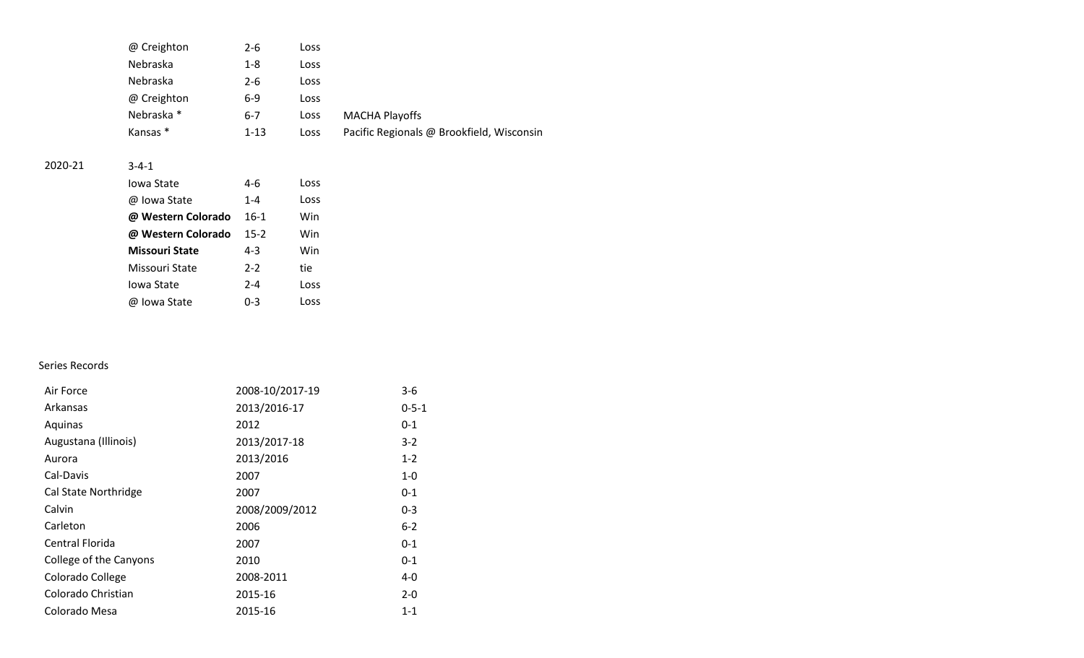| $2 - 6$  | Loss |                                           |
|----------|------|-------------------------------------------|
| 1-8      | Loss |                                           |
| $2 - 6$  | Loss |                                           |
| $6-9$    | Loss |                                           |
| $6 - 7$  | Loss | <b>MACHA Playoffs</b>                     |
| $1 - 13$ | Loss | Pacific Regionals @ Brookfield, Wisconsin |
|          |      |                                           |

# 2020-21 3-4-1

| Iowa State            | 4-6      | Loss |
|-----------------------|----------|------|
| @ Iowa State          | $1 - 4$  | Loss |
| @ Western Colorado    | $16-1$   | Win  |
| @ Western Colorado    | $15 - 2$ | Win  |
| <b>Missouri State</b> | 4-3      | Win  |
| Missouri State        | $2 - 2$  | tie  |
| Iowa State            | $2 - 4$  | Loss |
| @ Iowa State          | በ-3      | Loss |

## Series Records

| Air Force              | 2008-10/2017-19 | $3 - 6$     |
|------------------------|-----------------|-------------|
| Arkansas               | 2013/2016-17    | $0 - 5 - 1$ |
| Aquinas                | 2012            | $0 - 1$     |
| Augustana (Illinois)   | 2013/2017-18    | $3-2$       |
| Aurora                 | 2013/2016       | $1 - 2$     |
| Cal-Davis              | 2007            | $1 - 0$     |
| Cal State Northridge   | 2007            | $0 - 1$     |
| Calvin                 | 2008/2009/2012  | $0 - 3$     |
| Carleton               | 2006            | $6-2$       |
| Central Florida        | 2007            | $0 - 1$     |
| College of the Canyons | 2010            | $0 - 1$     |
| Colorado College       | 2008-2011       | $4 - 0$     |
| Colorado Christian     | 2015-16         | $2 - 0$     |
| Colorado Mesa          | 2015-16         | $1 - 1$     |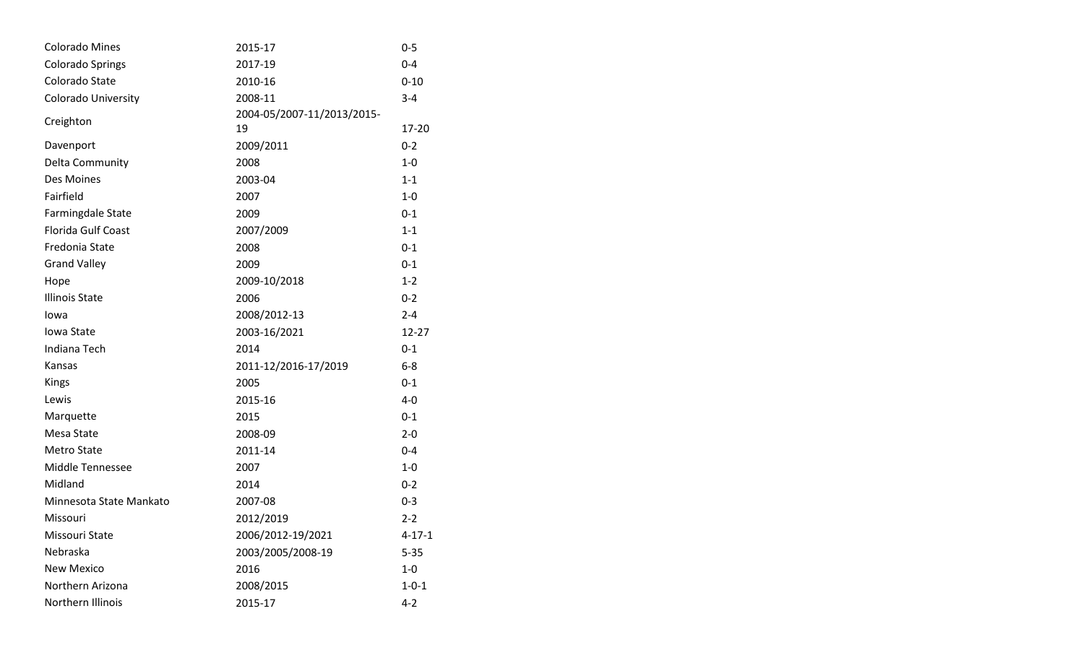| <b>Colorado Mines</b>     | 2015-17                    | $0 - 5$      |
|---------------------------|----------------------------|--------------|
| <b>Colorado Springs</b>   | 2017-19                    | $0 - 4$      |
| Colorado State            | 2010-16                    | $0 - 10$     |
| Colorado University       | 2008-11                    | $3 - 4$      |
| Creighton                 | 2004-05/2007-11/2013/2015- |              |
|                           | 19                         | $17 - 20$    |
| Davenport                 | 2009/2011                  | $0 - 2$      |
| Delta Community           | 2008                       | $1-0$        |
| <b>Des Moines</b>         | 2003-04                    | $1 - 1$      |
| Fairfield                 | 2007                       | $1-0$        |
| Farmingdale State         | 2009                       | $0 - 1$      |
| <b>Florida Gulf Coast</b> | 2007/2009                  | $1 - 1$      |
| Fredonia State            | 2008                       | $0 - 1$      |
| <b>Grand Valley</b>       | 2009                       | $0 - 1$      |
| Hope                      | 2009-10/2018               | $1 - 2$      |
| <b>Illinois State</b>     | 2006                       | $0 - 2$      |
| lowa                      | 2008/2012-13               | $2 - 4$      |
| Iowa State                | 2003-16/2021               | $12 - 27$    |
| Indiana Tech              | 2014                       | $0 - 1$      |
| Kansas                    | 2011-12/2016-17/2019       | $6 - 8$      |
| Kings                     | 2005                       | $0 - 1$      |
| Lewis                     | 2015-16                    | $4-0$        |
| Marquette                 | 2015                       | $0 - 1$      |
| Mesa State                | 2008-09                    | $2 - 0$      |
| Metro State               | 2011-14                    | $0 - 4$      |
| Middle Tennessee          | 2007                       | $1-0$        |
| Midland                   | 2014                       | $0 - 2$      |
| Minnesota State Mankato   | 2007-08                    | $0 - 3$      |
| Missouri                  | 2012/2019                  | $2 - 2$      |
| Missouri State            | 2006/2012-19/2021          | $4 - 17 - 1$ |
| Nebraska                  | 2003/2005/2008-19          | $5 - 35$     |
| <b>New Mexico</b>         | 2016                       | $1-0$        |
| Northern Arizona          | 2008/2015                  | $1 - 0 - 1$  |
| Northern Illinois         | 2015-17                    | $4 - 2$      |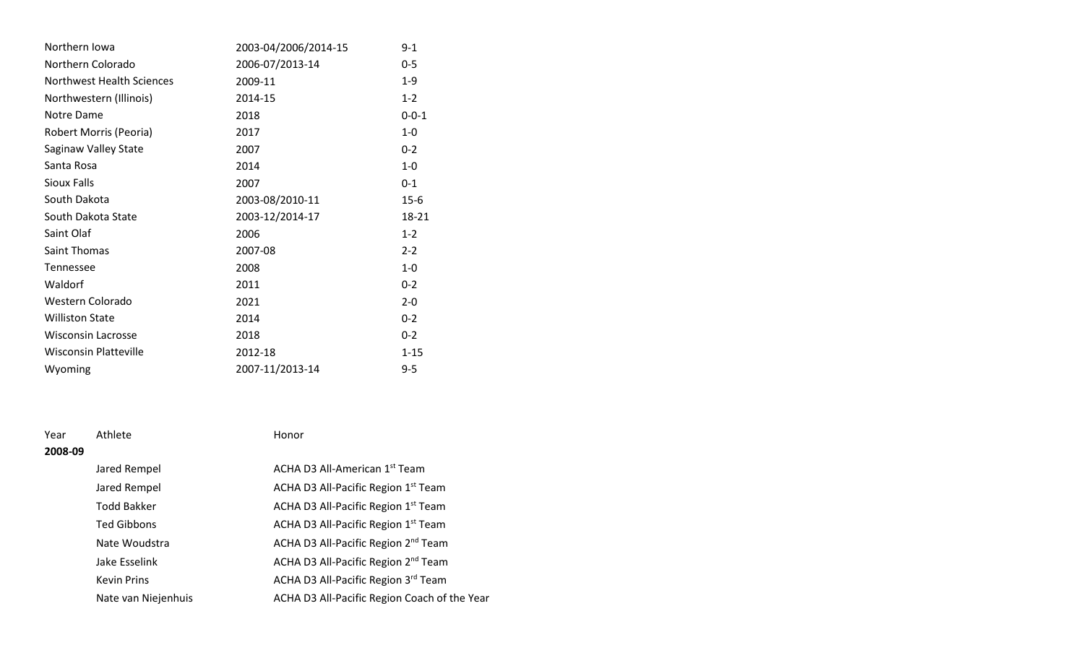| Northern Iowa                | 2003-04/2006/2014-15 | $9-1$       |
|------------------------------|----------------------|-------------|
| Northern Colorado            | 2006-07/2013-14      | $0-5$       |
| Northwest Health Sciences    | 2009-11              | $1 - 9$     |
| Northwestern (Illinois)      | 2014-15              | $1 - 2$     |
| Notre Dame                   | 2018                 | $0 - 0 - 1$ |
| Robert Morris (Peoria)       | 2017                 | $1-0$       |
| Saginaw Valley State         | 2007                 | $0 - 2$     |
| Santa Rosa                   | 2014                 | $1-0$       |
| Sioux Falls                  | 2007                 | $0 - 1$     |
| South Dakota                 | 2003-08/2010-11      | $15 - 6$    |
| South Dakota State           | 2003-12/2014-17      | 18-21       |
| Saint Olaf                   | 2006                 | $1 - 2$     |
| Saint Thomas                 | 2007-08              | $2 - 2$     |
| Tennessee                    | 2008                 | $1 - 0$     |
| Waldorf                      | 2011                 | $0 - 2$     |
| Western Colorado             | 2021                 | $2 - 0$     |
| <b>Williston State</b>       | 2014                 | $0 - 2$     |
| <b>Wisconsin Lacrosse</b>    | 2018                 | $0 - 2$     |
| <b>Wisconsin Platteville</b> | 2012-18              | $1 - 15$    |
| Wyoming                      | 2007-11/2013-14      | $9 - 5$     |

| Year | Athlete | Honor |
|------|---------|-------|
|      |         |       |

### **2008-09**

| Jared Rempel        | ACHA D3 All-American 1st Team                   |
|---------------------|-------------------------------------------------|
| Jared Rempel        | ACHA D3 All-Pacific Region 1st Team             |
| <b>Todd Bakker</b>  | ACHA D3 All-Pacific Region 1st Team             |
| <b>Ted Gibbons</b>  | ACHA D3 All-Pacific Region 1 <sup>st</sup> Team |
| Nate Woudstra       | ACHA D3 All-Pacific Region 2 <sup>nd</sup> Team |
| Jake Esselink       | ACHA D3 All-Pacific Region 2 <sup>nd</sup> Team |
| <b>Kevin Prins</b>  | ACHA D3 All-Pacific Region 3rd Team             |
| Nate van Niejenhuis | ACHA D3 All-Pacific Region Coach of the Year    |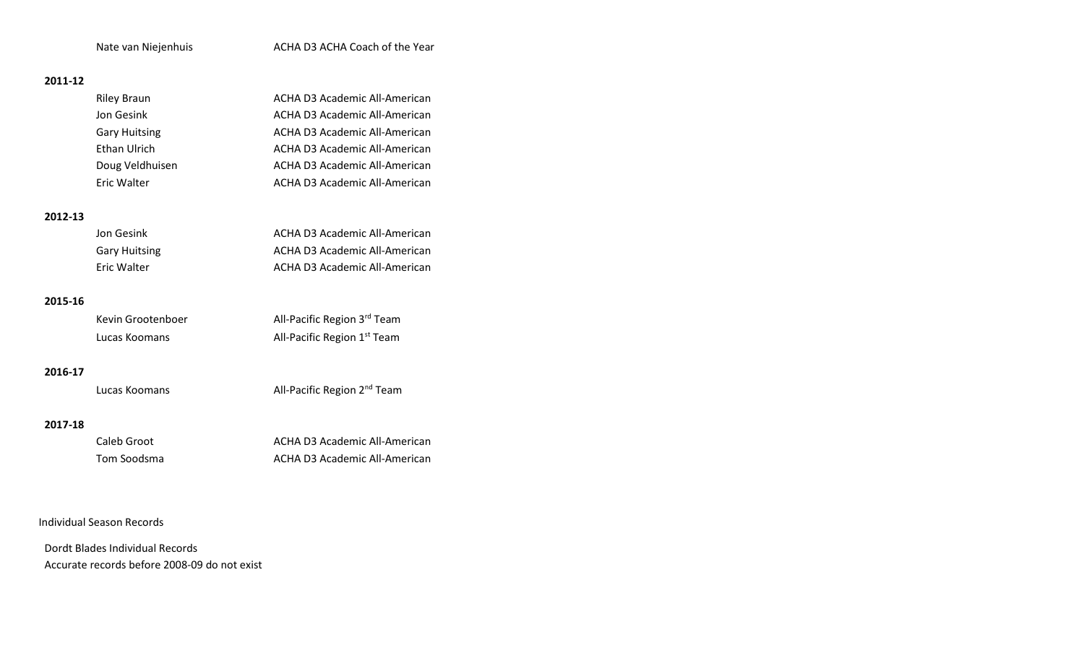Nate van Niejenhuis **ACHA D3 ACHA Coach of the Year** 

## **2011-12**

| <b>Riley Braun</b>   | ACHA D3 Academic All-American |
|----------------------|-------------------------------|
| Jon Gesink           | ACHA D3 Academic All-American |
| <b>Gary Huitsing</b> | ACHA D3 Academic All-American |
| Ethan Ulrich         | ACHA D3 Academic All-American |
| Doug Veldhuisen      | ACHA D3 Academic All-American |
| Eric Walter          | ACHA D3 Academic All-American |

## **2012-13**

| Jon Gesink    | ACHA D3 Academic All-American |
|---------------|-------------------------------|
| Gary Huitsing | ACHA D3 Academic All-American |
| Eric Walter   | ACHA D3 Academic All-American |

### **2015-16**

| Kevin Grootenboer | All-Pacific Region 3rd Team             |
|-------------------|-----------------------------------------|
| Lucas Koomans     | All-Pacific Region 1 <sup>st</sup> Team |

### **2016-17**

| Lucas Koomans | All-Pacific Region 2 <sup>nd</sup> Team |
|---------------|-----------------------------------------|
|---------------|-----------------------------------------|

### **2017-18**

| Caleb Groot | ACHA D3 Academic All-American |
|-------------|-------------------------------|
| Tom Soodsma | ACHA D3 Academic All-American |

# Individual Season Records

Dordt Blades Individual Records Accurate records before 2008-09 do not exist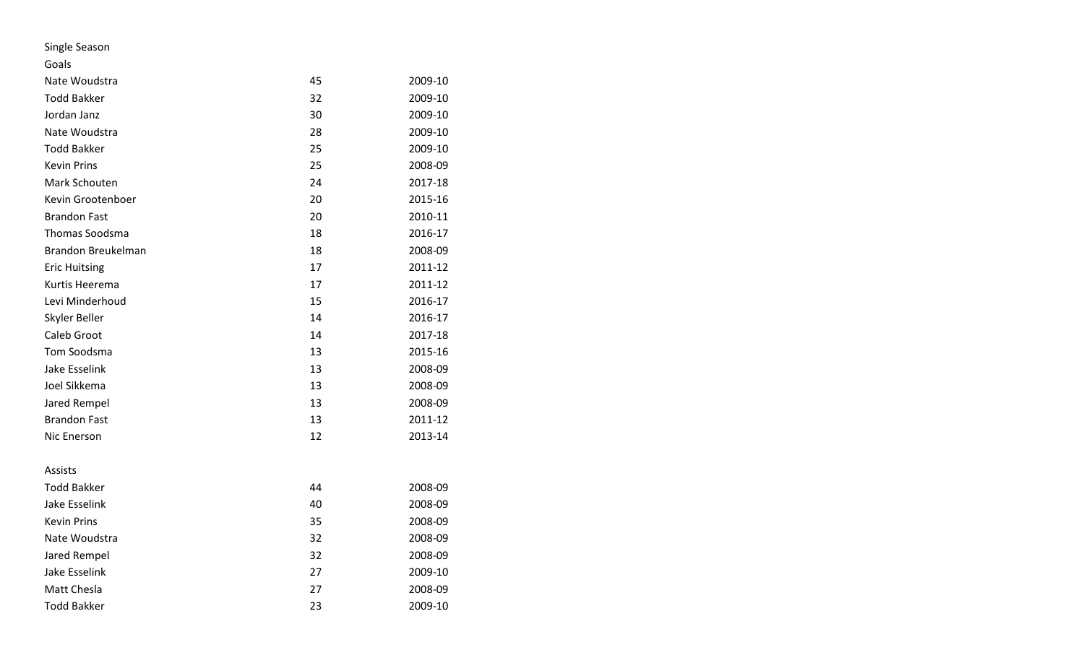Goals

| Nate Woudstra        | 45 | 2009-10 |
|----------------------|----|---------|
| <b>Todd Bakker</b>   | 32 | 2009-10 |
| Jordan Janz          | 30 | 2009-10 |
| Nate Woudstra        | 28 | 2009-10 |
| <b>Todd Bakker</b>   | 25 | 2009-10 |
| <b>Kevin Prins</b>   | 25 | 2008-09 |
| Mark Schouten        | 24 | 2017-18 |
| Kevin Grootenboer    | 20 | 2015-16 |
| <b>Brandon Fast</b>  | 20 | 2010-11 |
| Thomas Soodsma       | 18 | 2016-17 |
| Brandon Breukelman   | 18 | 2008-09 |
| <b>Eric Huitsing</b> | 17 | 2011-12 |
| Kurtis Heerema       | 17 | 2011-12 |
| Levi Minderhoud      | 15 | 2016-17 |
| Skyler Beller        | 14 | 2016-17 |
| Caleb Groot          | 14 | 2017-18 |
| Tom Soodsma          | 13 | 2015-16 |
| <b>Jake Esselink</b> | 13 | 2008-09 |
| Joel Sikkema         | 13 | 2008-09 |
| Jared Rempel         | 13 | 2008-09 |
| <b>Brandon Fast</b>  | 13 | 2011-12 |
| Nic Enerson          | 12 | 2013-14 |
| <b>Assists</b>       |    |         |
| <b>Todd Bakker</b>   | 44 | 2008-09 |
| Jake Esselink        | 40 | 2008-09 |
| <b>Kevin Prins</b>   | 35 | 2008-09 |
| Nate Woudstra        | 32 | 2008-09 |
| Jared Rempel         | 32 | 2008-09 |
| Jake Esselink        | 27 | 2009-10 |
| Matt Chesla          | 27 | 2008-09 |
| <b>Todd Bakker</b>   | 23 | 2009-10 |
|                      |    |         |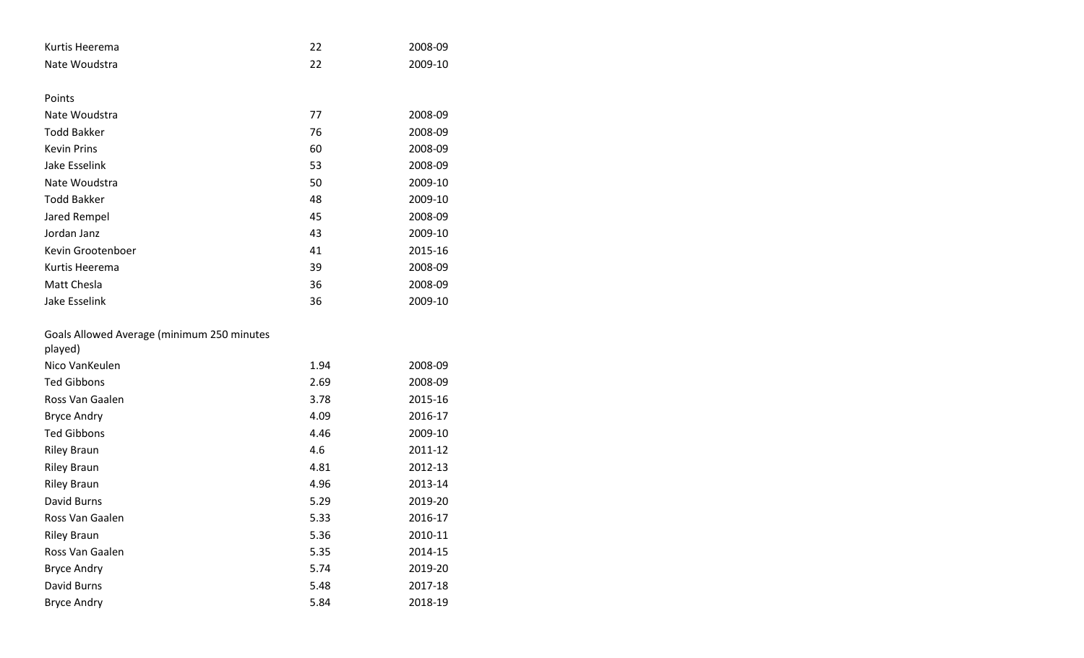| Kurtis Heerema                             | 22   | 2008-09 |
|--------------------------------------------|------|---------|
| Nate Woudstra                              | 22   | 2009-10 |
| Points                                     |      |         |
|                                            |      |         |
| Nate Woudstra                              | 77   | 2008-09 |
| <b>Todd Bakker</b>                         | 76   | 2008-09 |
| <b>Kevin Prins</b>                         | 60   | 2008-09 |
| Jake Esselink                              | 53   | 2008-09 |
| Nate Woudstra                              | 50   | 2009-10 |
| <b>Todd Bakker</b>                         | 48   | 2009-10 |
| Jared Rempel                               | 45   | 2008-09 |
| Jordan Janz                                | 43   | 2009-10 |
| Kevin Grootenboer                          | 41   | 2015-16 |
| Kurtis Heerema                             | 39   | 2008-09 |
| Matt Chesla                                | 36   | 2008-09 |
| Jake Esselink                              | 36   | 2009-10 |
| Goals Allowed Average (minimum 250 minutes |      |         |
| played)                                    |      |         |
| Nico VanKeulen                             | 1.94 | 2008-09 |
| <b>Ted Gibbons</b>                         | 2.69 | 2008-09 |
| Ross Van Gaalen                            | 3.78 | 2015-16 |
| <b>Bryce Andry</b>                         | 4.09 | 2016-17 |
| <b>Ted Gibbons</b>                         | 4.46 | 2009-10 |
| <b>Riley Braun</b>                         | 4.6  | 2011-12 |
| <b>Riley Braun</b>                         | 4.81 | 2012-13 |
| <b>Riley Braun</b>                         | 4.96 | 2013-14 |
| David Burns                                | 5.29 | 2019-20 |
| Ross Van Gaalen                            | 5.33 | 2016-17 |
| <b>Riley Braun</b>                         | 5.36 | 2010-11 |
| Ross Van Gaalen                            | 5.35 | 2014-15 |
| <b>Bryce Andry</b>                         | 5.74 | 2019-20 |
| David Burns                                | 5.48 | 2017-18 |
| <b>Bryce Andry</b>                         | 5.84 | 2018-19 |